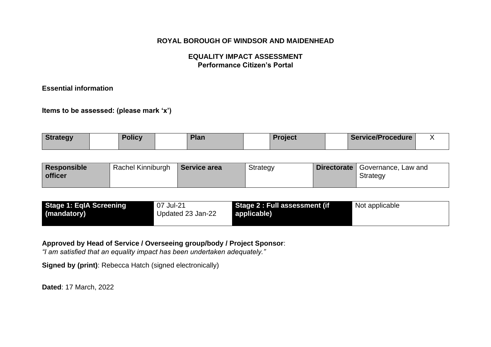## **EQUALITY IMPACT ASSESSMENT Performance Citizen's Portal**

### **Essential information**

**Items to be assessed: (please mark 'x')** 

| <b>Strategy</b> | <b>Policy</b> | Plan | <b>Project</b> | <b>Service/Procedure</b> |  |
|-----------------|---------------|------|----------------|--------------------------|--|
|                 |               |      |                |                          |  |

| Responsible    | Rachel Kinniburgh | Service area | <b>Strategy</b> | <b>Directorate</b> Governance, Law and |
|----------------|-------------------|--------------|-----------------|----------------------------------------|
| <b>officer</b> |                   |              |                 | <b>Strategy</b>                        |
|                |                   |              |                 |                                        |

| <b>Stage 1: EqIA Screening</b> | 07 Jul-21         | Stage 2 : Full assessment (if | Not applicable |
|--------------------------------|-------------------|-------------------------------|----------------|
| (mandatory)                    | Updated 23 Jan-22 | applicable)                   |                |
|                                |                   |                               |                |

#### **Approved by Head of Service / Overseeing group/body / Project Sponsor**:

*"I am satisfied that an equality impact has been undertaken adequately."*

**Signed by (print)**: Rebecca Hatch (signed electronically)

**Dated**: 17 March, 2022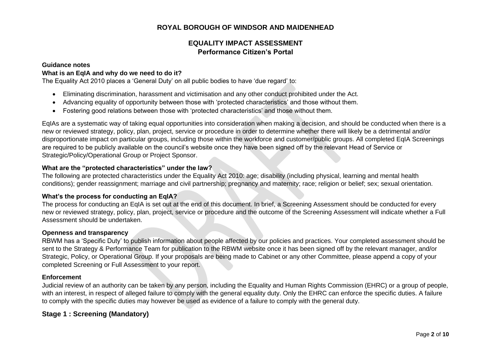## **EQUALITY IMPACT ASSESSMENT Performance Citizen's Portal**

#### **Guidance notes**

#### **What is an EqIA and why do we need to do it?**

The Equality Act 2010 places a 'General Duty' on all public bodies to have 'due regard' to:

- Eliminating discrimination, harassment and victimisation and any other conduct prohibited under the Act.
- Advancing equality of opportunity between those with 'protected characteristics' and those without them.
- Fostering good relations between those with 'protected characteristics' and those without them.

EqIAs are a systematic way of taking equal opportunities into consideration when making a decision, and should be conducted when there is a new or reviewed strategy, policy, plan, project, service or procedure in order to determine whether there will likely be a detrimental and/or disproportionate impact on particular groups, including those within the workforce and customer/public groups. All completed EqIA Screenings are required to be publicly available on the council's website once they have been signed off by the relevant Head of Service or Strategic/Policy/Operational Group or Project Sponsor.

#### **What are the "protected characteristics" under the law?**

The following are protected characteristics under the Equality Act 2010: age; disability (including physical, learning and mental health conditions); gender reassignment; marriage and civil partnership; pregnancy and maternity; race; religion or belief; sex; sexual orientation.

#### **What's the process for conducting an EqIA?**

The process for conducting an EqIA is set out at the end of this document. In brief, a Screening Assessment should be conducted for every new or reviewed strategy, policy, plan, project, service or procedure and the outcome of the Screening Assessment will indicate whether a Full Assessment should be undertaken.

#### **Openness and transparency**

RBWM has a 'Specific Duty' to publish information about people affected by our policies and practices. Your completed assessment should be sent to the Strategy & Performance Team for publication to the RBWM website once it has been signed off by the relevant manager, and/or Strategic, Policy, or Operational Group. If your proposals are being made to Cabinet or any other Committee, please append a copy of your completed Screening or Full Assessment to your report.

#### **Enforcement**

Judicial review of an authority can be taken by any person, including the Equality and Human Rights Commission (EHRC) or a group of people, with an interest, in respect of alleged failure to comply with the general equality duty. Only the EHRC can enforce the specific duties. A failure to comply with the specific duties may however be used as evidence of a failure to comply with the general duty.

#### **Stage 1 : Screening (Mandatory)**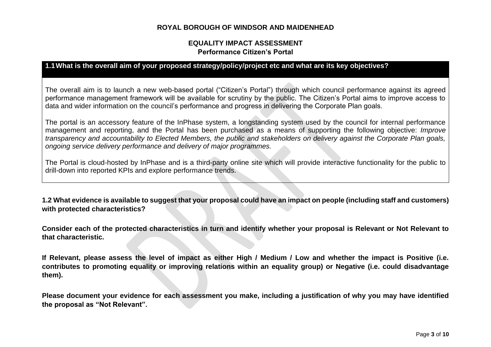### **EQUALITY IMPACT ASSESSMENT Performance Citizen's Portal**

### **1.1What is the overall aim of your proposed strategy/policy/project etc and what are its key objectives?**

The overall aim is to launch a new web-based portal ("Citizen's Portal") through which council performance against its agreed performance management framework will be available for scrutiny by the public. The Citizen's Portal aims to improve access to data and wider information on the council's performance and progress in delivering the Corporate Plan goals.

The portal is an accessory feature of the InPhase system, a longstanding system used by the council for internal performance management and reporting, and the Portal has been purchased as a means of supporting the following objective: *Improve transparency and accountability to Elected Members, the public and stakeholders on delivery against the Corporate Plan goals, ongoing service delivery performance and delivery of major programmes.*

The Portal is cloud-hosted by InPhase and is a third-party online site which will provide interactive functionality for the public to drill-down into reported KPIs and explore performance trends.

**1.2 What evidence is available to suggest that your proposal could have an impact on people (including staff and customers) with protected characteristics?**

**Consider each of the protected characteristics in turn and identify whether your proposal is Relevant or Not Relevant to that characteristic.**

**If Relevant, please assess the level of impact as either High / Medium / Low and whether the impact is Positive (i.e. contributes to promoting equality or improving relations within an equality group) or Negative (i.e. could disadvantage them).**

**Please document your evidence for each assessment you make, including a justification of why you may have identified the proposal as "Not Relevant".**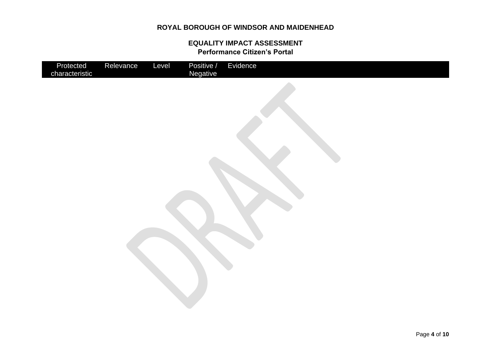| Protected<br>characteristic | Relevance | Level | Positive /<br>Negative | Evidence |
|-----------------------------|-----------|-------|------------------------|----------|
|                             |           |       |                        |          |
|                             |           |       |                        |          |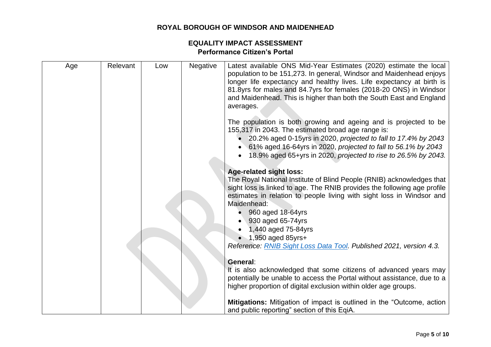| Age | Relevant | Low | <b>Negative</b> | Latest available ONS Mid-Year Estimates (2020) estimate the local<br>population to be 151,273. In general, Windsor and Maidenhead enjoys<br>longer life expectancy and healthy lives. Life expectancy at birth is<br>81.8yrs for males and 84.7yrs for females (2018-20 ONS) in Windsor<br>and Maidenhead. This is higher than both the South East and England<br>averages.                                                                       |
|-----|----------|-----|-----------------|---------------------------------------------------------------------------------------------------------------------------------------------------------------------------------------------------------------------------------------------------------------------------------------------------------------------------------------------------------------------------------------------------------------------------------------------------|
|     |          |     |                 | The population is both growing and ageing and is projected to be<br>155,317 in 2043. The estimated broad age range is:<br>20.2% aged 0-15yrs in 2020, projected to fall to 17.4% by 2043<br>61% aged 16-64yrs in 2020, projected to fall to 56.1% by 2043<br>18.9% aged 65+yrs in 2020, projected to rise to 26.5% by 2043.                                                                                                                       |
|     |          |     |                 | <b>Age-related sight loss:</b><br>The Royal National Institute of Blind People (RNIB) acknowledges that<br>sight loss is linked to age. The RNIB provides the following age profile<br>estimates in relation to people living with sight loss in Windsor and<br>Maidenhead:<br>960 aged 18-64yrs<br>930 aged 65-74yrs<br>1,440 aged 75-84yrs<br>$\bullet$ 1,950 aged 85yrs+<br>Reference: RNIB Sight Loss Data Tool. Published 2021, version 4.3. |
|     |          |     |                 | General:<br>It is also acknowledged that some citizens of advanced years may<br>potentially be unable to access the Portal without assistance, due to a<br>higher proportion of digital exclusion within older age groups.                                                                                                                                                                                                                        |
|     |          |     |                 | Mitigations: Mitigation of impact is outlined in the "Outcome, action<br>and public reporting" section of this EqiA.                                                                                                                                                                                                                                                                                                                              |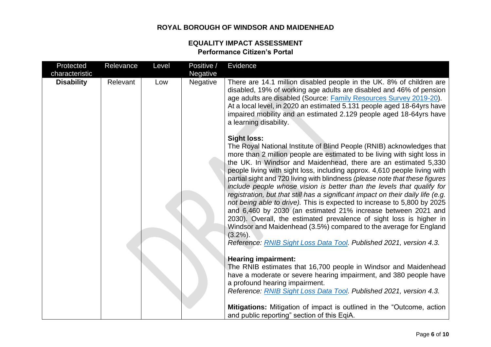| Protected         | Relevance | Level | Positive / | Evidence                                                                                                                                                                                                                                                                                                                                                                                                                                                                                                                                                                                                                                                                                                                                                                                                                                                                                                                                         |
|-------------------|-----------|-------|------------|--------------------------------------------------------------------------------------------------------------------------------------------------------------------------------------------------------------------------------------------------------------------------------------------------------------------------------------------------------------------------------------------------------------------------------------------------------------------------------------------------------------------------------------------------------------------------------------------------------------------------------------------------------------------------------------------------------------------------------------------------------------------------------------------------------------------------------------------------------------------------------------------------------------------------------------------------|
| characteristic    |           |       | Negative   |                                                                                                                                                                                                                                                                                                                                                                                                                                                                                                                                                                                                                                                                                                                                                                                                                                                                                                                                                  |
| <b>Disability</b> | Relevant  | Low   | Negative   | There are 14.1 million disabled people in the UK. 8% of children are<br>disabled, 19% of working age adults are disabled and 46% of pension<br>age adults are disabled (Source: Family Resources Survey 2019-20).<br>At a local level, in 2020 an estimated 5.131 people aged 18-64yrs have<br>impaired mobility and an estimated 2.129 people aged 18-64yrs have<br>a learning disability.                                                                                                                                                                                                                                                                                                                                                                                                                                                                                                                                                      |
|                   |           |       |            | <b>Sight loss:</b><br>The Royal National Institute of Blind People (RNIB) acknowledges that<br>more than 2 million people are estimated to be living with sight loss in<br>the UK. In Windsor and Maidenhead, there are an estimated 5,330<br>people living with sight loss, including approx. 4,610 people living with<br>partial sight and 720 living with blindness (please note that these figures<br>include people whose vision is better than the levels that qualify for<br>registration, but that still has a significant impact on their daily life (e.g.<br>not being able to drive). This is expected to increase to 5,800 by 2025<br>and 6,460 by 2030 (an estimated 21% increase between 2021 and<br>2030). Overall, the estimated prevalence of sight loss is higher in<br>Windsor and Maidenhead (3.5%) compared to the average for England<br>$(3.2\%)$ .<br>Reference: RNIB Sight Loss Data Tool. Published 2021, version 4.3. |
|                   |           |       |            | <b>Hearing impairment:</b>                                                                                                                                                                                                                                                                                                                                                                                                                                                                                                                                                                                                                                                                                                                                                                                                                                                                                                                       |
|                   |           |       |            | The RNIB estimates that 16,700 people in Windsor and Maidenhead<br>have a moderate or severe hearing impairment, and 380 people have<br>a profound hearing impairment.                                                                                                                                                                                                                                                                                                                                                                                                                                                                                                                                                                                                                                                                                                                                                                           |
|                   |           |       |            | Reference: RNIB Sight Loss Data Tool. Published 2021, version 4.3.                                                                                                                                                                                                                                                                                                                                                                                                                                                                                                                                                                                                                                                                                                                                                                                                                                                                               |
|                   |           |       |            | Mitigations: Mitigation of impact is outlined in the "Outcome, action<br>and public reporting" section of this EqiA.                                                                                                                                                                                                                                                                                                                                                                                                                                                                                                                                                                                                                                                                                                                                                                                                                             |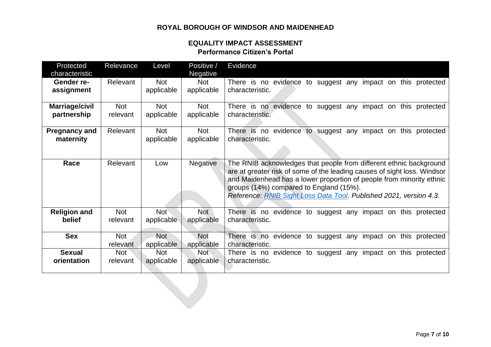| Protected<br>characteristic | Relevance  | Level      | Positive /<br><b>Negative</b> | Evidence                                                                                                                                                                                                                                                                                                                                |
|-----------------------------|------------|------------|-------------------------------|-----------------------------------------------------------------------------------------------------------------------------------------------------------------------------------------------------------------------------------------------------------------------------------------------------------------------------------------|
| Gender re-                  | Relevant   | <b>Not</b> | <b>Not</b>                    | There is no evidence to suggest any impact on this protected                                                                                                                                                                                                                                                                            |
| assignment                  |            | applicable | applicable                    | characteristic.                                                                                                                                                                                                                                                                                                                         |
| Marriage/civil              | <b>Not</b> | <b>Not</b> | <b>Not</b>                    | There is no evidence to suggest any impact on this protected                                                                                                                                                                                                                                                                            |
| partnership                 | relevant   | applicable | applicable                    | characteristic.                                                                                                                                                                                                                                                                                                                         |
| <b>Pregnancy and</b>        | Relevant   | <b>Not</b> | <b>Not</b>                    | There is no evidence to suggest any impact on this protected                                                                                                                                                                                                                                                                            |
| maternity                   |            | applicable | applicable                    | characteristic.                                                                                                                                                                                                                                                                                                                         |
| Race                        | Relevant   | Low        | <b>Negative</b>               | The RNIB acknowledges that people from different ethnic background<br>are at greater risk of some of the leading causes of sight loss. Windsor<br>and Maidenhead has a lower proportion of people from minority ethnic<br>groups (14%) compared to England (15%).<br>Reference: RNIB Sight Loss Data Tool. Published 2021, version 4.3. |
| <b>Religion and</b>         | <b>Not</b> | <b>Not</b> | <b>Not</b>                    | There is no evidence to suggest any impact on this protected                                                                                                                                                                                                                                                                            |
| belief                      | relevant   | applicable | applicable                    | characteristic.                                                                                                                                                                                                                                                                                                                         |
| <b>Sex</b>                  | <b>Not</b> | <b>Not</b> | <b>Not</b>                    | There is no evidence to suggest any impact on this protected                                                                                                                                                                                                                                                                            |
|                             | relevant   | applicable | applicable                    | characteristic.                                                                                                                                                                                                                                                                                                                         |
| <b>Sexual</b>               | Not        | <b>Not</b> | <b>Not</b>                    | There is no evidence to suggest any impact on this protected                                                                                                                                                                                                                                                                            |
| orientation                 | relevant   | applicable | applicable                    | characteristic.                                                                                                                                                                                                                                                                                                                         |
|                             |            |            |                               |                                                                                                                                                                                                                                                                                                                                         |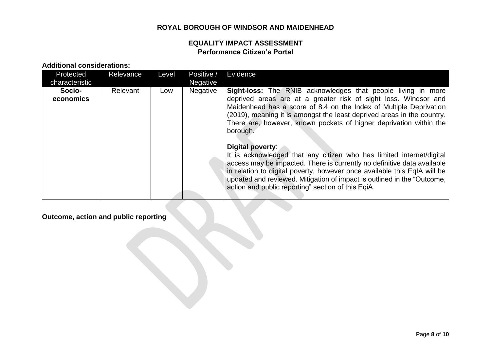## **EQUALITY IMPACT ASSESSMENT Performance Citizen's Portal**

**Additional considerations:**

| Protected<br>characteristic | Relevance | Level | Positive /<br><b>Negative</b> | Evidence                                                                                                                                                                                                                                                                                                                                                                         |
|-----------------------------|-----------|-------|-------------------------------|----------------------------------------------------------------------------------------------------------------------------------------------------------------------------------------------------------------------------------------------------------------------------------------------------------------------------------------------------------------------------------|
| Socio-<br>economics         | Relevant  | Low   | <b>Negative</b>               | <b>Sight-loss:</b> The RNIB acknowledges that people living in more<br>deprived areas are at a greater risk of sight loss. Windsor and<br>Maidenhead has a score of 8.4 on the Index of Multiple Deprivation<br>(2019), meaning it is amongst the least deprived areas in the country.<br>There are, however, known pockets of higher deprivation within the<br>borough.         |
|                             |           |       |                               | Digital poverty:<br>It is acknowledged that any citizen who has limited internet/digital<br>access may be impacted. There is currently no definitive data available<br>in relation to digital poverty, however once available this EqIA will be<br>updated and reviewed. Mitigation of impact is outlined in the "Outcome,<br>action and public reporting" section of this EqiA. |

# **Outcome, action and public reporting**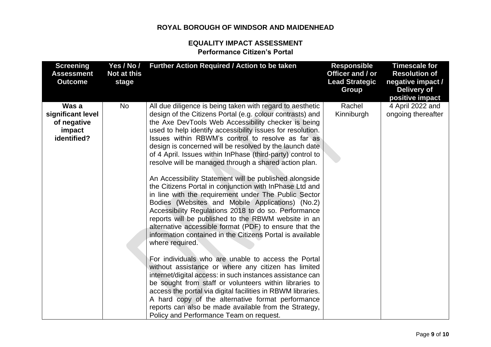| <b>Screening</b><br><b>Assessment</b><br><b>Outcome</b>            | Yes / No /<br>Not at this<br>stage | Further Action Required / Action to be taken                                                                                                                                                                                                                                                                                                                                                                                                                                                                                                                                                                                                                                                                                                                                             | <b>Responsible</b><br>Officer and / or<br><b>Lead Strategic</b><br><b>Group</b> | <b>Timescale for</b><br><b>Resolution of</b><br>negative impact /<br><b>Delivery of</b><br>positive impact |
|--------------------------------------------------------------------|------------------------------------|------------------------------------------------------------------------------------------------------------------------------------------------------------------------------------------------------------------------------------------------------------------------------------------------------------------------------------------------------------------------------------------------------------------------------------------------------------------------------------------------------------------------------------------------------------------------------------------------------------------------------------------------------------------------------------------------------------------------------------------------------------------------------------------|---------------------------------------------------------------------------------|------------------------------------------------------------------------------------------------------------|
| Was a<br>significant level<br>of negative<br>impact<br>identified? | No                                 | All due diligence is being taken with regard to aesthetic<br>design of the Citizens Portal (e.g. colour contrasts) and<br>the Axe DevTools Web Accessibility checker is being<br>used to help identify accessibility issues for resolution.<br>Issues within RBWM's control to resolve as far as<br>design is concerned will be resolved by the launch date                                                                                                                                                                                                                                                                                                                                                                                                                              | Rachel<br>Kinniburgh                                                            | 4 April 2022 and<br>ongoing thereafter                                                                     |
|                                                                    |                                    | of 4 April. Issues within InPhase (third-party) control to<br>resolve will be managed through a shared action plan.<br>An Accessibility Statement will be published alongside<br>the Citizens Portal in conjunction with InPhase Ltd and<br>in line with the requirement under The Public Sector<br>Bodies (Websites and Mobile Applications) (No.2)<br>Accessibility Regulations 2018 to do so. Performance<br>reports will be published to the RBWM website in an<br>alternative accessible format (PDF) to ensure that the<br>information contained in the Citizens Portal is available<br>where required.<br>For individuals who are unable to access the Portal<br>without assistance or where any citizen has limited<br>internet/digital access: in such instances assistance can |                                                                                 |                                                                                                            |
|                                                                    |                                    | be sought from staff or volunteers within libraries to<br>access the portal via digital facilities in RBWM libraries.<br>A hard copy of the alternative format performance<br>reports can also be made available from the Strategy,<br>Policy and Performance Team on request.                                                                                                                                                                                                                                                                                                                                                                                                                                                                                                           |                                                                                 |                                                                                                            |